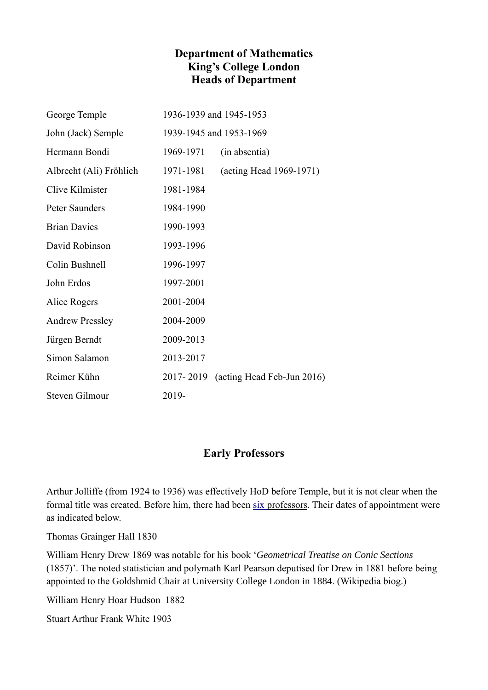## **Department of Mathematics King's College London Heads of Department**

| George Temple           | 1936-1939 and 1945-1953 |                                      |
|-------------------------|-------------------------|--------------------------------------|
| John (Jack) Semple      | 1939-1945 and 1953-1969 |                                      |
| Hermann Bondi           | 1969-1971               | (in absentia)                        |
| Albrecht (Ali) Fröhlich | 1971-1981               | (acting Head 1969-1971)              |
| Clive Kilmister         | 1981-1984               |                                      |
| Peter Saunders          | 1984-1990               |                                      |
| <b>Brian Davies</b>     | 1990-1993               |                                      |
| David Robinson          | 1993-1996               |                                      |
| Colin Bushnell          | 1996-1997               |                                      |
| John Erdos              | 1997-2001               |                                      |
| Alice Rogers            | 2001-2004               |                                      |
| <b>Andrew Pressley</b>  | 2004-2009               |                                      |
| Jürgen Berndt           | 2009-2013               |                                      |
| Simon Salamon           | 2013-2017               |                                      |
| Reimer Kühn             |                         | 2017-2019 (acting Head Feb-Jun 2016) |
| Steven Gilmour          | 2019-                   |                                      |

## **Early Professors**

Arthur Jolliffe (from 1924 to 1936) was effectively HoD before Temple, but it is not clear when the formal title was created. Before him, there had been [six professors.](https://kingscollections.org/calendars/collection/1965-1966/page-190) Their dates of appointment were as indicated below.

Thomas Grainger Hall 1830

William Henry Drew 1869 was notable for his book '*Geometrical Treatise on Conic Sections* (1857)'. The noted statistician and polymath Karl Pearson deputised for Drew in 1881 before being appointed to the Goldshmid Chair at University College London in 1884. (Wikipedia biog.)

William Henry Hoar Hudson 1882

Stuart Arthur Frank White 1903